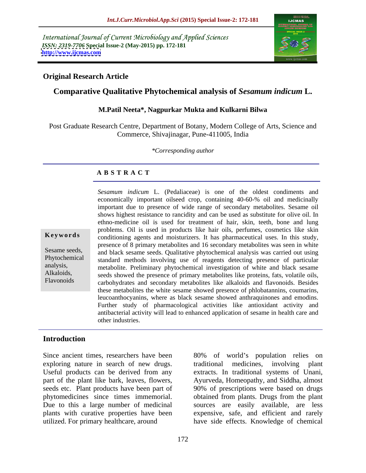International Journal of Current Microbiology and Applied Sciences *ISSN: 2319-7706* **Special Issue-2 (May-2015) pp. 172-181 <http://www.ijcmas.com>**



### **Original Research Article**

# **Comparative Qualitative Phytochemical analysis of** *Sesamum indicum* **L.**

### **M.Patil Neeta\*, Nagpurkar Mukta and Kulkarni Bilwa**

Post Graduate Research Centre, Department of Botany, Modern College of Arts, Science and Commerce, Shivajinagar, Pune-411005, India

*\*Corresponding author*

## **A B S T R A C T**

Flavonoids

*Sesamum indicum* L. (Pedaliaceae) is one of the oldest condiments and economically important oilseed crop, containing 40-60-% oil and medicinally important due to presence of wide range of secondary metabolites. Sesame oil shows highest resistance to rancidity and can be used as substitute for olive oil. In ethno-medicine oil is used for treatment of hair, skin, teeth, bone and lung problems. Oil is used in products like hair oils, perfumes, cosmetics like skin **Keywords** conditioning agents and moisturizers. It has pharmaceutical uses. In this study, presence of 8 primary metabolites and 16 secondary metabolites was seen in white Sesame seeds, and black sesame seeds. Qualitative phytochemical analysis was carried out using Phytochemical standard methods involving use of reagents detecting presence of particular analysis, metabolite. Preliminary phytochemical investigation of white and black sesame Alkaloids, seeds showed the presence of primary metabolites like proteins, fats, volatile oils, carbohydrates and secondary metabolites like alkaloids and flavonoids. Besides these metabolites the white sesame showed presence of phlobatannins, coumarins, leucoanthocyanins, where as black sesame showed anthraquinones and emodins. Further study of pharmacological activities like antioxidant activity and antibacterial activity will lead to enhanced application of sesame in health care and other industries.

# **Introduction**

exploring nature in search of new drugs. Investment includes traditional medicines, involving plant

Since ancient times, researchers have been  $80\%$  of world's population relies on Useful products can be derived from any extracts. In traditional systems of Unani, part of the plant like bark, leaves, flowers, Ayurveda, Homeopathy, and Siddha, almost seeds etc. Plant products have been part of 90% of prescriptions were based on drugs phytomedicines since times immemorial. obtained from plants. Drugs from the plant Due to this a large number of medicinal sources are easily available, are less plants with curative properties have been expensive, safe, and efficient and rarely utilized. For primary healthcare, around have side effects. Knowledge of chemical traditional medicines, involving plant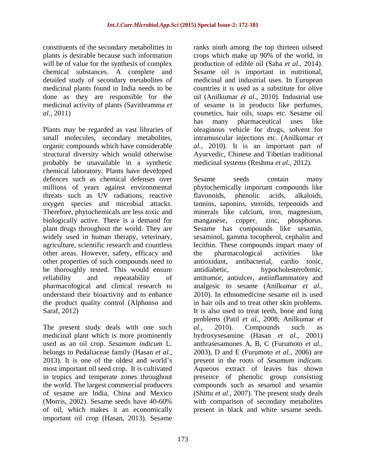constituents of the secondary metabolities in ranks ninth among the top thirteen oilseed medicinal plants found in India needs to be done as they are responsible for the

probably be unavailable in a synthetic chemical laboratory. Plants have developed defences such as chemical defenses over Sesame seeds contain many threats such as UV radiations, reactive flavonoids, phenolic acids, alkaloids, biologically active. There is a demand for manganese, copper, zinc, phosphorus. other areas. However, safety, efficacy and the pharmacological activities like other properties of such compounds need to be thoroughly tested. This would ensure antidiabetic, the product quality control (Alphonso and

The present study deals with one such al., 2010). Compounds such as of oil, which makes it an economically present in black and white sesame seeds.important oil crop (Hasan, 2013). Sesame

plants is desirable because such information crops which make up 90% of the world, in will be of value for the synthesis of complex production of edible oil (Saha *et al.*, 2014). chemical substances. A complete and Sesame oil is important in nutritional, detailed study of secondary metabolites of medicinal and industrial uses. In European done as they are responsible for the oil (Anilkumar *et al.,*2010).Industrial use medicinal activity of plants (Savithramma *et*  of sesame is in products like perfumes, *al.,* 2011) cosmetics, hair oils, soaps etc. Sesame oil Plants may be regarded as vast libraries of oleaginous vehicle for drugs, solvent for small molecules, secondary metabolites, intramuscular injections etc. (Anilkumar *et*  organic compounds which have considerable *al.,* 2010). It is an important part of structural diversity which would otherwise Ayurvedic, Chinese and Tibetian traditional countries it is used as a substitute for olive has many pharmaceutical uses like medicinal systems (Reshma *et al.,* 2012).

millions of years against environmental phytochemically important compounds like oxygen species and microbial attacks. tannins, saponins, steroids, terpenoids and Therefore, phytochemicals are less toxic and minerals like calcium, iron, magnesium, plant drugs throughout the world. They are Sesame has compounds like sesamin, widely used in human therapy, veterinary, sesaminol, gamma tocopherol, cephalin and agriculture, scientific research and countless lecithin. These compounds impart many of reliability and repeatability of antitumor, antiulcer, antiinflammatory and pharmacological and clinical research to analgesic to sesame (Anilkumar *et al.,* understand their bioactivity and to enhance 2010). In ethnomedicine sesame oil is used Saraf, 2012) It is also used to treat teeth, bone and lung medicinal plant which is more prominently hydroxysesamine (Hasan *et al.,* 2001) used as an oil crop. *Sesamum indicum* L. anthrasesamones A, B, C (Furumoto *et al.,* belongs to Pedaliaceae family (Hasan *et al.,* 2003), D and E (Furumoto *et al.,* 2006) are 2013). It is one of the oldest and world's present in the roots of *Sesamum indicum*. most important oil seed crop. It is cultivated Aqueous extract of leaves has shown in tropics and temperate zones throughout presence of phenolic group consisting the world. The largest commercial producers compounds such as sesamol and sesamin of sesame are India, China and Mexico (Shittu *et al.,* 2007). The present study deals (Morris, 2002). Sesame seeds have 40-60% with comparison of secondary metabolites Sesame seeds contain many flavonoids, phenolic acids, alkaloids, manganese, copper, zinc, the pharmacological activities like antioxidant, antibacterial, cardio tonic, hypocholesterolemic, in hair oils and to treat other skin problems. problems (Patil *et al.,* 2008; Anilkumar *et al.,* 2010). Compounds such as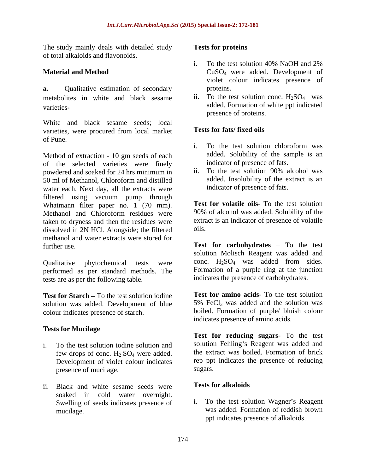The study mainly deals with detailed study Tests for proteins of total alkaloids and flavonoids.

**a.** Qualitative estimation of secondary proteins. metabolites in white and black sesame

White and black sesame seeds; local<br>varieties were procured from local market **Tests for fats/fixed oils** varieties, were procured from local market of Pune.

Method of extraction - 10 gm seeds of each of the selected varieties were finely<br>nowdered and soaked for 24 hrs minimum in ii. To the test solution 90% alcohol was powdered and soaked for 24 hrs minimum in 50 ml of Methanol, Chloroform and distilled water each. Next day, all the extracts were filtered using vacuum pump through Whatmann filter paper no. 1 (70 mm). Methanol and Chloroform residues were taken to dryness and then the residues were extra<br>dissolved in 2N HCl Alongside: the filtered oils. dissolved in 2N HCl. Alongside; the filtered methanol and water extracts were stored for

performed as per standard methods. The tests are as per the following table.

**Test for Starch** – To the test solution iodine<br>solution was added Development of blue 5% FeCl<sub>3</sub> was added and the solution was solution was added. Development of blue colour indicates presence of starch.

### **Tests for Mucilage**

- i. To the test solution iodine solution and few drops of conc.  $H_2$  SO<sub>4</sub> were added. Development of violet colour indicates rep ppt<br>presence of mucilage sugars. presence of mucilage.
- ii. Black and white sesame seeds were **Tests for alkaloids** soaked in cold water overnight.<br>Swelling of seeds indicates presence of i. Swelling of seeds indicates presence of

### **Tests for proteins**

- **Material and Method** CuSO<sub>4</sub> were added. Development of i. To the test solution 40% NaOH and 2% violet colour indicates presence of proteins.
- varieties-<br>
added. Formation of white ppt indicated ii. To the test solution conc.  $H_2SO_4$  was presence of proteins.

### **Tests for fats/ fixed oils**

- i. To the test solution chloroform was added. Solubility of the sample is an indicator of presence of fats.
- ii. To the test solution 90% alcohol was added. Insolubility of the extract is an indicator of presence of fats.

**Test for volatile oils**- To the test solution 90% of alcohol was added. Solubility of the extract is an indicator of presence of volatile oils.

further use. Test **for carbohydrates** - To the test Qualitative phytochemical tests were conc.  $H_2SO_4$  was added from sides. solution Molisch Reagent was added and conc.  $H_2SO_4$  was added from sides. Formation of a purple ring at the junction indicates the presence of carbohydrates.

> **Test for amino acids**- To the test solution 5% FeCl<sub>3</sub> was added and the solution was boiled. Formation of purple/ bluish colour indicates presence of amino acids.

**Test for reducing sugars**- To the test solution Fehling's Reagent was added and the extract was boiled. Formation of brick rep ppt indicates the presence of reducing sugars.

### **Tests for alkaloids**

mucilage. was added. Formation of reddish brown To the test solution Wagner's Reagent ppt indicates presence of alkaloids.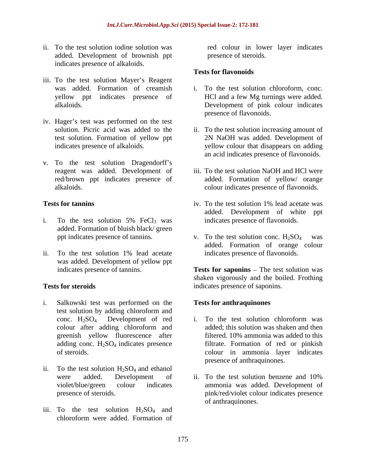- ii. To the test solution iodine solution was red colour in lower layer indicates added. Development of brownish ppt indicates presence of alkaloids.
- iii. To the test solution Mayer's Reagent was added. Formation of creamish
- iv. Hager's test was performed on the test
- v. To the test solution Dragendorff's red/brown ppt indicates presence of

- i. To the test solution 5%  $FeCl<sub>3</sub>$  was indicates presence of flavonoids. added. Formation of bluish black/ green
- ii. To the test solution 1% lead acetate was added. Development of yellow ppt

- i. Salkowski test was performed on the test solution by adding chloroform and
- ii. To the test solution  $H_2SO_4$  and ethanol
- iii. To the test solution  $H_2SO_4$  and chloroform were added. Formation of chloroform were added. Formation of

presence of steroids.

### **Tests for flavonoids**

- yellow ppt indicates presence of HCl and a few Mg turnings were added. alkaloids. Development of pink colour indicates To the test solution chloroform, conc. presence of flavonoids.
- solution. Picric acid was added to the ii. To the test solution increasing amount of test solution. Formation of yellow ppt 2N NaOH was added. Development of indicates presence of alkaloids. yellow colour that disappears on adding an acid indicates presence of flavonoids.
- reagent was added. Development of iii. To the test solution NaOH and HCl were alkaloids. colour indicates presence of flavonoids. added. Formation of yellow/ orange
- **Tests for tanning** Tests for tanning the second vector of the test solution 1% lead acetate was iv. To the test solution 1% lead acetate was added. Development of white ppt indicates presence of flavonoids.
	- ppt indicates presence of tannins.  $v.$  To the test solution conc.  $H_2SO_4$  was added. Formation of orange colour indicates presence of flavonoids.

indicates presence of tannins. Tests for **saponins** – The test solution was **Tests for steroids** indicates presence of saponins. shaken vigorously and the boiled. Frothing

### **Tests for anthraquinones**

- conc.  $H_2SO_4$ . Development of red<br>colour after adding chloroform and<br>ded; this solution was shaken and then colour after adding chloroform and greenish yellow fluorescence after filtered. 10% ammonia was added to this adding conc. H<sub>2</sub>SO<sub>4</sub> indicates presence filtrate. Formation of red or pinkish of steroids. colour in ammonia layer indicates i. To the test solution chloroform was added; this solution was shaken and then presence of anthraquinones.
- were added. Development of ii. To the test solution benzene and 10% violet/blue/green colour indicates ammonia was added. Development of presence of steroids. pink/red/violet colour indicates presence ii. To the test solution benzene and 10% of anthraquinones.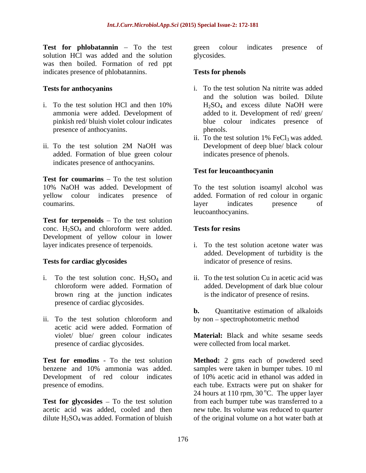**Test for phlobatannin** – To the test green colour indicates presence of solution HCl was added and the solution glycosides. was then boiled. Formation of red ppt indicates presence of phlobatannins. Tests for phenols

- presence of anthocyanins. The phenols phenols.
- ii. To the test solution 2M NaOH was Development of deep blue/ black colour added. Formation of blue green colour indicates presence of anthocyanins.

**Test for coumarins**  $-$  To the test solution

**Test for terpenoids** – To the test solution conc.  $H_2SO_4$  and chloroform were added. **Tests for resins** Development of yellow colour in lower layer indicates presence of terpenoids.

- i. To the test solution conc.  $H_2SO_4$  and chloroform were added. Formation of brown ring at the junction indicates presence of cardiac glycosides.
- ii. To the test solution chloroform and by non spectrophotometric method acetic acid were added. Formation of presence of cardiac glycosides.

Development of red colour indicates

**Test for glycosides** – To the test solution

green colour indicates presence of glycosides.

### **Tests for phenols**

- **Tests for anthocyanins** i. To the test solution Na nitrite was added i. To the test solution HCl and then  $10\%$   $H_2SO_4$  and excess dilute NaOH were ammonia were added. Development of added to it. Development of red/ green/ pinkish red/ bluish violet colour indicates blue colour indicates presence of and the solution was boiled. Dilute H2SO4 and excess dilute NaOH were phenols.
	- ii. To the test solution  $1\%$  FeCl<sub>3</sub> was added. Development of deep blue/ black colour indicates presence of phenols.

### **Test for leucoanthocyanin**

10% NaOH was added. Development of To the test solution isoamyl alcohol was yellow colour indicates presence of added. Formation of red colour in organic coumarins. The coumarins coumarins coumarins. layer indicates presence of leucoanthocyanins.

### **Tests for resins**

- layer indicates presence of terpenoids. i. To the test solution acetone water was **Tests for cardiac glycosides** indicator of presence of resins. added. Development of turbidity is the
	- chloroform were added. Formation of added. Development of dark blue colour ii. To the test solution Cu in acetic acid was is the indicator of presence of resins.

**b.** Quantitative estimation of alkaloids by non – spectrophotometric method

violet/ blue/ green colour indicates **Material:** Black and white sesame seeds were collected from local market.

**Test for emodins** - To the test solution **Method:** 2 gms each of powdered seed benzene and 10% ammonia was added. Samples were taken in bumper tubes. 10 ml presence of emodins. each tube. Extracts were put on shaker for acetic acid was added, cooled and then new tube. Its volume was reduced to quarter dilute  $H_2SO_4$  was added. Formation of bluish of the original volume on a hot water bath at of 10% acetic acid in ethanol was added in 24 hours at 110 rpm,  $30^{\circ}$ C. The upper layer  $\rm ^{o}C$ . The upper layer from each bumper tube was transferred to a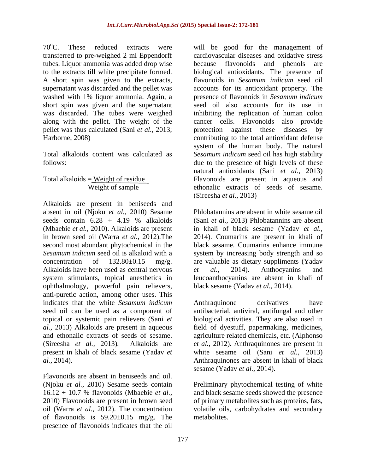70°C. These reduced extracts were will be good for the management of transferred to pre-weighed 2 ml Eppendorff tubes. Liquor ammonia was added drop wise because flavonoids and phenols are washed with 1% liquor ammonia. Again, a short spin was given and the supernatant was discarded. The tubes were weighed along with the pellet. The weight of the pellet was thus calculated (Sani *et al.,* 2013;

Alkaloids are present in beniseeds and absent in oil (Njoku *et al.,* 2010) Sesame (Mbaebie *et al.,* 2010). Alkaloids are present Alkaloids have been used as central nervous et al., 2014). Anthocyanins and ophthalmology, powerful pain relievers, anti-puretic action, among other uses. This indicates that the white *Sesamum indicum* seed oil can be used as a component of antibacterial, antiviral, antifungal and other topical or systemic pain relievers (Sani *et*  biological activities. They are also used in *al.,* 2013) Alkaloids are present in aqueous field of dyestuff, papermaking, medicines, and ethonalic extracts of seeds of sesame. agriculture related chemicals, etc. (Alphonso (Sireesha *et al.,* 2013)*.* Alkaloids are *et al.,* 2012). Anthraquinones are present in present in khali of black sesame (Yadav *et al.,* 2014). Anthraquinones are absent in khali of black

Flavonoids are absent in beniseeds and oil. of flavonoids is  $59.20 \pm 0.15$  mg/g. The presence of flavonoids indicates that the oil

to the extracts till white precipitate formed. biological antioxidants. The presence of A short spin was given to the extracts, flavonoids in *Sesamum indicum* seed oil supernatant was discarded and the pellet was accounts for its antioxidant property. The was discarded. The tubes were weighed inhibiting the replication of human colon Harborne, 2008) contributing to the total antioxidant defense Total alkaloids content was calculated as *Sesamum indicum* seed oil has high stability follows: due to the presence of high levels of these Total alkaloids = Weight of residue Flavonoids are present in aqueous and Weight of sample ethonalic extracts of seeds of sesame. cardiovascular diseases and oxidative stress because flavonoids and phenols are presence of flavonoids in *Sesamum indicum* seed oil also accounts for its use in cancer cells. Flavonoids also provide protection against these diseases by system of the human body. The natural natural antioxidants (Sani *et al.,* 2013) (Sireesha *et al.,* 2013)

seeds contain 6.28 + 4.19 % alkaloids (Sani *et al.*, 2013) Phlobatannins are absent in brown seed oil (Warra *et al.,* 2012).The 2014). Coumarins are present in khali of second most abundant phytochemical in the black sesame. Coumarins enhance immune *Sesamum indicum* seed oil is alkaloid with a system by increasing body strength and so concentration of  $132.80\pm0.15$  mg/g. are valuable as dietary suppliments (Yadav system stimulants, topical anesthetics in leucoanthocyanins are absent in khali of Phlobatannins are absent in white sesame oil (Sani *et al.,* 2013) Phlobatannins are absent in khali of black sesame (Yadav *et al., et al.,* 2014). Anthocyanins and black sesame (Yadav *et al.,* 2014).

> Anthraquinone derivatives have white sesame oil (Sani *et al.,* 2013) sesame (Yadav *et al.,* 2014).

(Njoku *et al.,* 2010) Sesame seeds contain Preliminary phytochemical testing of white 16.12 + 10.7 % flavonoids (Mbaebie *et al.,* and black sesame seeds showed the presence 2010) Flavonoids are present in brown seed of primary metabolites such as proteins, fats, oil (Warra *et al.*, 2012). The concentration volatile oils, carbohydrates and secondary metabolites.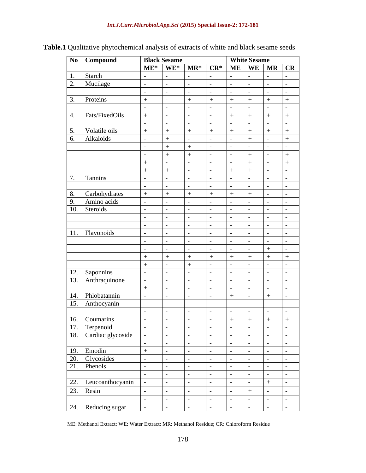| No Compound                                             |     | <b>Black Sesame</b>                                                                                                     |                |               | <b>White Sesame</b> |     |            |
|---------------------------------------------------------|-----|-------------------------------------------------------------------------------------------------------------------------|----------------|---------------|---------------------|-----|------------|
|                                                         |     | $M_{\rm E}$ $M_{\rm E}$ $M_{\rm E}$ $M_{\rm R}$ $M_{\rm E}$ $M_{\rm E}$ $M_{\rm E}$ $M_{\rm E}$ $M_{\rm R}$ $M_{\rm E}$ |                |               |                     |     |            |
| 1.<br>Starch                                            |     |                                                                                                                         |                |               |                     |     |            |
| 2. Mucilage                                             |     |                                                                                                                         |                |               |                     |     |            |
|                                                         |     |                                                                                                                         |                |               |                     |     | $\sim$     |
| 3. Proteins                                             | $+$ | $+$                                                                                                                     | $+$            | $+$           | $+$                 | $+$ | $+$        |
|                                                         |     |                                                                                                                         |                |               |                     |     |            |
| 4. Fats/FixedOils                                       |     |                                                                                                                         |                | $+$           | $+$                 | $+$ | $+$        |
|                                                         |     |                                                                                                                         |                |               |                     |     |            |
| 5. Volatile oils                                        | $+$ | $+$                                                                                                                     | $+$            | $+$           | $+$                 | $+$ | $+$        |
| 6.<br>Alkaloids                                         |     |                                                                                                                         |                |               | $+$                 |     | $+$        |
|                                                         |     |                                                                                                                         |                |               |                     |     |            |
|                                                         |     |                                                                                                                         |                |               | $+$                 |     | $+$        |
|                                                         | $+$ |                                                                                                                         |                |               | $+$                 |     | $+$        |
|                                                         |     |                                                                                                                         |                | $+$           | $+$                 |     |            |
| 7. Tannins                                              |     |                                                                                                                         |                |               |                     |     |            |
|                                                         |     |                                                                                                                         |                |               |                     |     |            |
| 8. Carbohydrates                                        |     |                                                                                                                         | $+$            | $+$           | $+$                 |     | $\sim$     |
| Amino acids                                             |     |                                                                                                                         |                |               |                     |     |            |
| 9. Amino ac                                             |     |                                                                                                                         |                |               |                     |     |            |
|                                                         |     |                                                                                                                         |                |               |                     |     |            |
|                                                         |     |                                                                                                                         |                |               |                     |     |            |
| Flavonoids<br>11.                                       |     |                                                                                                                         |                |               |                     |     |            |
|                                                         |     |                                                                                                                         |                |               |                     |     |            |
|                                                         |     |                                                                                                                         |                |               |                     |     |            |
|                                                         |     | $+$                                                                                                                     | $+$            | $+$           | $+$                 | $+$ | $+$        |
|                                                         | $+$ |                                                                                                                         |                |               |                     |     |            |
| 12. Saponnins                                           |     |                                                                                                                         |                |               |                     |     |            |
| 13. Anthraquinone                                       |     |                                                                                                                         |                |               |                     |     |            |
|                                                         |     |                                                                                                                         |                |               |                     |     |            |
| 14. Phlobatannin                                        |     |                                                                                                                         |                | $+$           |                     | $+$ |            |
| 15. Anthocyanin                                         |     |                                                                                                                         |                |               |                     |     |            |
|                                                         |     |                                                                                                                         |                |               |                     |     |            |
|                                                         |     |                                                                                                                         |                | $+$           | $+$                 | $+$ | $+$        |
|                                                         |     |                                                                                                                         |                |               |                     |     | $\sim$     |
| 16. Coumarins<br>17. Terpenoid<br>18. Cardiac glycoside |     |                                                                                                                         | $\sim$ $ \sim$ | $\sim$ $\sim$ | $\sim$              |     | $\sim$ $-$ |
|                                                         |     |                                                                                                                         |                | $\sim$ $\sim$ |                     |     |            |
|                                                         | $+$ |                                                                                                                         |                |               |                     |     |            |
|                                                         |     |                                                                                                                         |                |               |                     |     |            |
| 19. Emodin<br>20. Glycosides<br>21. Phenols             |     |                                                                                                                         |                |               |                     |     |            |
|                                                         |     |                                                                                                                         |                |               |                     |     |            |
|                                                         |     |                                                                                                                         |                |               |                     |     |            |
| 22. Leucoanthocyanin<br>23. Resin                       |     |                                                                                                                         |                |               | $+$                 |     |            |
|                                                         |     |                                                                                                                         |                |               |                     |     |            |
| 24. Reducing sugar                                      |     |                                                                                                                         |                |               |                     |     |            |
|                                                         |     |                                                                                                                         |                |               |                     |     |            |

# **Table.1** Qualitative phytochemical analysis of extracts of white and black sesame seeds

ME: Methanol Extract; WE: Water Extract; MR: Methanol Residue; CR: Chloroform Residue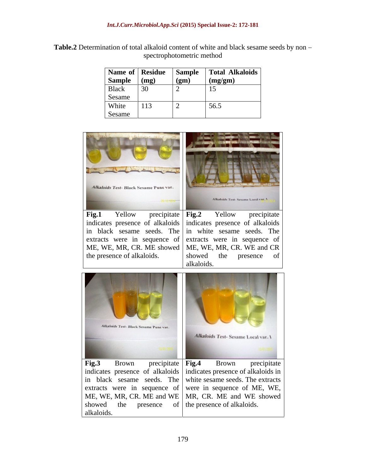| <b>Table.2</b> Determination of total alkaloid content of white and black sesame seeds by non – |
|-------------------------------------------------------------------------------------------------|
| trophotometric method:<br>×не                                                                   |

| Name of Residue |      | Sample | <b>Total Alkaloids</b> |
|-----------------|------|--------|------------------------|
| <b>Sample</b>   | (mg) | (gm)   | $\log \frac{m}{m}$     |
| <b>Black</b>    |      |        | $\overline{1}$         |
| Sesame          |      |        |                        |
| White           | 113  |        | 56.5                   |
| Sesame          |      |        |                        |



in black sesame seeds. The in white sesame seeds. The extracts were in sequence of extracts were in sequence of ME, WE, MR, CR. ME showed | ME, WE, MR, CR. WE and CR the presence of alkaloids.

ME, WE, MR, CR. WE and CR showed the presence of alkaloids.



in black sesame seeds. The white sesame seeds. The extracts extracts were in sequence of were in sequence of ME, WE, ME, WE, MR, CR. ME and WE | MR, CR. ME and WE showed | showed the presence of the presence of alkaloids. alkaloids.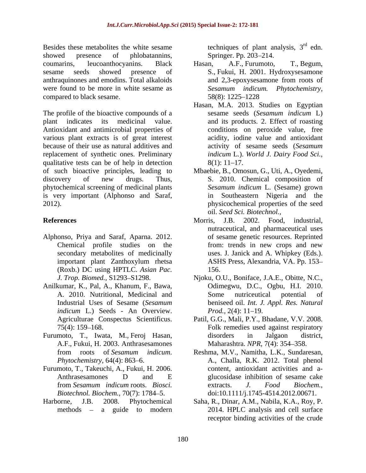Besides these metabolites the white sesame showed presence of phlobatannins, Springer. Pp. 203–214. anthraquinones and emodins. Total alkaloids were found to be more in white sesame as Sesamum indicum. Phytochemistry, compared to black sesame. 58(8): 1225–1228

The profile of the bioactive compounds of a sesame seeds (Sesamum indicum L) plant indicates its medicinal value. and its products. 2. Effect of roasting Antioxidant and antimicrobial properties of various plant extracts is of great interest because of their use as natural additives and replacement of synthetic ones. Preliminary qualitative tests can be of help in detection  $8(1): 11-17$ . of such bioactive principles, leading to Mbaebie, B., Omosun, G., Uti, A., Oyedemi, discovery of new drugs. Thus, S. 2010. Chemical composition of phytochemical screening of medicinal plants is very important (Alphonso and Saraf, 2012). physicochemical properties of the seed

- Alphonso, Priya and Saraf, Aparna. 2012. secondary metabolites of medicinally (Roxb.) DC using HPTLC. *Asian Pac.*
- Anilkumar, K., Pal, A., Khanum, F., Bawa, *indicum* L.) Seeds - An Overview. *Prod.*, 2(4): 11–19.
- Furumoto, T., Iwata, M., Feroj Hasan, A.F., Fukui, H. 2003. Anthrasesamones
- 
- 

techniques of plant analysis,  $3<sup>rd</sup>$  edn. rd edn. Springer. Pp. 203–214.

- coumarins, leucoanthocyanins. Black sesame seeds showed presence of S., Fukui, H. 2001. Hydroxysesamone Hasan, A.F., Furumoto, T., Begum, and 2,3-epoxysesamone from roots of *Sesamum indicum. Phytochemistry,* 58(8): 1225 1228
	- Hasan, M.A. 2013. Studies on Egyptian sesame seeds (*Sesamum indicum* L) conditions on peroxide value, free acidity, iodine value and antioxidant activity of sesame seeds (*Sesamum indicum* L*.*). *World J. Dairy Food Sci.,*  $8(1): 11-17.$
	- *Sesamum indicum* L. (Sesame) grown in Southeastern Nigeria and the oil. *Seed Sci. Biotechnol.,*
- **References** Morris, J.B. 2002. Food, industrial, Chemical profile studies on the from: trends in new crops and new important plant Zanthoxylum rhetsa Morris, J.B. 2002. Food, industrial, nutraceutical, and pharmaceutical uses of sesame genetic resources. Reprinted from: trends in new crops and new uses. J. Janick and A. Whipkey (Eds.). ASHS Press, Alexandria, VA. Pp. 153 156.
	- *J. Trop. Biomed.,* S1293–S1298. (*Njoku, O.U., Boniface, J.A.E., Obitte, N.C.,* A. 2010. Nutritional, Medicinal and Industrial Uses of Sesame (*Sesamum*  beniseed oil. *Int. J. Appl. Res. Natural* Odimegwu, D.C., Ogbu, H.I. 2010. Some nutriceutical potential of *Prod.,* 2(4): 11–19.
	- Agriculturae Conspectus Scientificus. Patil, G.G., Mali, P.Y., Bhadane, V.V. 2008. 75(4): 159 168. Folk remedies used against respiratory disorders in Jalgaon district, Maharashtra. *NPR*, 7(4): 354-358.
- from roots of *Sesamum indicum*. Reshma, M.V., Namitha, L.K., Sundaresan, *Phytochemistry,* 64(4): 863–6. A., Challa, R.K. 2012. Total phenol Furumoto, T., Takeuchi, A., Fukui, H. 2006. content, antioxidant activities and a-<br>Anthrasesamones D and E glucosidase inhibition of sesame cake from *Sesamum indicum* roots. *Biosci. Biotechnol. Biochem.,* 70(7): 1784–5. doi:10.1111/j.1745-4514.2012.00671. content, antioxidant activities and a glucosidase inhibition of sesame cake extracts. *J. Food Biochem.,*
- Harborne, J.B. 2008. Phytochemical Saha, R., Dinar, A.M., Nabila, K.A., Roy, P. methods – a guide to modern 2014. HPLC analysis and cell surface receptor binding activities of the crude